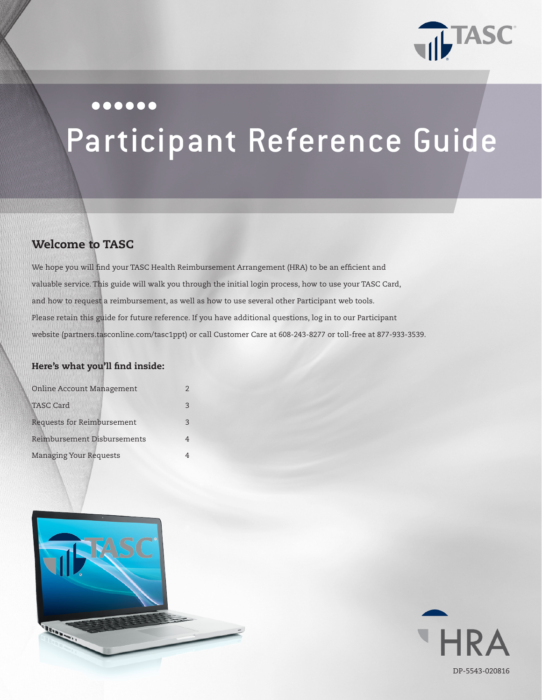

## $000000$

# Participant Reference Guide

# Welcome to TASC

We hope you will find your TASC Health Reimbursement Arrangement (HRA) to be an efficient and valuable service. This guide will walk you through the initial login process, how to use your TASC Card, and how to request a reimbursement, as well as how to use several other Participant web tools. Please retain this guide for future reference. If you have additional questions, log in to our Participant website (partners.tasconline.com/tasc1ppt) or call Customer Care at 608-243-8277 or toll-free at 877-933-3539.

## Here's what you'll find inside:

| <b>Online Account Management</b> |               |
|----------------------------------|---------------|
| <b>TASC Card</b>                 | $\mathcal{R}$ |
| Requests for Reimbursement       | २             |
| Reimbursement Disbursements      |               |
| <b>Managing Your Requests</b>    |               |



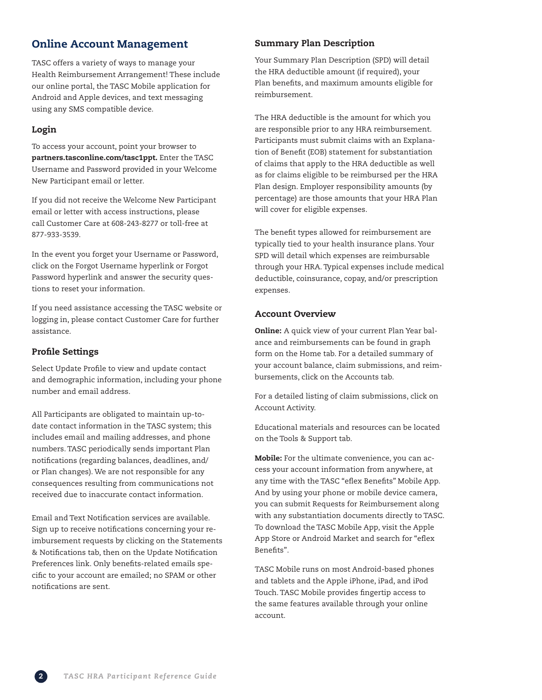## Online Account Management

TASC offers a variety of ways to manage your Health Reimbursement Arrangement! These include our online portal, the TASC Mobile application for Android and Apple devices, and text messaging using any SMS compatible device.

## Login

To access your account, point your browser to partners.tasconline.com/tasc1ppt. Enter the TASC Username and Password provided in your Welcome New Participant email or letter.

If you did not receive the Welcome New Participant email or letter with access instructions, please call Customer Care at 608-243-8277 or toll-free at 877-933-3539.

In the event you forget your Username or Password, click on the Forgot Username hyperlink or Forgot Password hyperlink and answer the security questions to reset your information.

If you need assistance accessing the TASC website or logging in, please contact Customer Care for further assistance.

#### Profile Settings

Select Update Profile to view and update contact and demographic information, including your phone number and email address.

All Participants are obligated to maintain up-todate contact information in the TASC system; this includes email and mailing addresses, and phone numbers. TASC periodically sends important Plan notifications (regarding balances, deadlines, and/ or Plan changes). We are not responsible for any consequences resulting from communications not received due to inaccurate contact information.

Email and Text Notification services are available. Sign up to receive notifications concerning your reimbursement requests by clicking on the Statements & Notifications tab, then on the Update Notification Preferences link. Only benefits-related emails specific to your account are emailed; no SPAM or other notifications are sent.

## Summary Plan Description

Your Summary Plan Description (SPD) will detail the HRA deductible amount (if required), your Plan benefits, and maximum amounts eligible for reimbursement.

The HRA deductible is the amount for which you are responsible prior to any HRA reimbursement. Participants must submit claims with an Explanation of Benefit (EOB) statement for substantiation of claims that apply to the HRA deductible as well as for claims eligible to be reimbursed per the HRA Plan design. Employer responsibility amounts (by percentage) are those amounts that your HRA Plan will cover for eligible expenses.

The benefit types allowed for reimbursement are typically tied to your health insurance plans. Your SPD will detail which expenses are reimbursable through your HRA. Typical expenses include medical deductible, coinsurance, copay, and/or prescription expenses.

#### Account Overview

Online: A quick view of your current Plan Year balance and reimbursements can be found in graph form on the Home tab. For a detailed summary of your account balance, claim submissions, and reimbursements, click on the Accounts tab.

For a detailed listing of claim submissions, click on Account Activity.

Educational materials and resources can be located on the Tools & Support tab.

Mobile: For the ultimate convenience, you can access your account information from anywhere, at any time with the TASC "eflex Benefits" Mobile App. And by using your phone or mobile device camera, you can submit Requests for Reimbursement along with any substantiation documents directly to TASC. To download the TASC Mobile App, visit the Apple App Store or Android Market and search for "eflex Benefits".

TASC Mobile runs on most Android-based phones and tablets and the Apple iPhone, iPad, and iPod Touch. TASC Mobile provides fingertip access to the same features available through your online account.

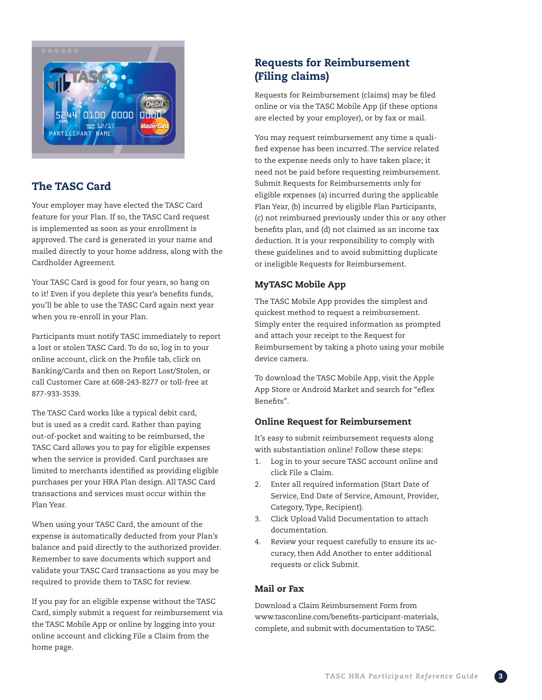

# The TASC Card

Your employer may have elected the TASC Card feature for your Plan. If so, the TASC Card request is implemented as soon as your enrollment is approved. The card is generated in your name and mailed directly to your home address, along with the Cardholder Agreement.

Your TASC Card is good for four years, so hang on to it! Even if you deplete this year's benefits funds, you'll be able to use the TASC Card again next year when you re-enroll in your Plan.

Participants must notify TASC immediately to report a lost or stolen TASC Card. To do so, log in to your online account, click on the Profile tab, click on Banking/Cards and then on Report Lost/Stolen, or call Customer Care at 608-243-8277 or toll-free at 877-933-3539.

The TASC Card works like a typical debit card, but is used as a credit card. Rather than paying out-of-pocket and waiting to be reimbursed, the TASC Card allows you to pay for eligible expenses when the service is provided. Card purchases are limited to merchants identified as providing eligible purchases per your HRA Plan design. All TASC Card transactions and services must occur within the Plan Year.

When using your TASC Card, the amount of the expense is automatically deducted from your Plan's balance and paid directly to the authorized provider. Remember to save documents which support and validate your TASC Card transactions as you may be required to provide them to TASC for review.

If you pay for an eligible expense without the TASC Card, simply submit a request for reimbursement via the TASC Mobile App or online by logging into your online account and clicking File a Claim from the home page.

# Requests for Reimbursement (Filing claims)

Requests for Reimbursement (claims) may be filed online or via the TASC Mobile App (if these options are elected by your employer), or by fax or mail.

You may request reimbursement any time a qualified expense has been incurred. The service related to the expense needs only to have taken place; it need not be paid before requesting reimbursement. Submit Requests for Reimbursements only for eligible expenses (a) incurred during the applicable Plan Year, (b) incurred by eligible Plan Participants, (c) not reimbursed previously under this or any other benefits plan, and (d) not claimed as an income tax deduction. It is your responsibility to comply with these guidelines and to avoid submitting duplicate or ineligible Requests for Reimbursement.

## MyTASC Mobile App

The TASC Mobile App provides the simplest and quickest method to request a reimbursement. Simply enter the required information as prompted and attach your receipt to the Request for Reimbursement by taking a photo using your mobile device camera.

To download the TASC Mobile App, visit the Apple App Store or Android Market and search for "eflex Benefits".

## Online Request for Reimbursement

It's easy to submit reimbursement requests along with substantiation online! Follow these steps:

- 1. Log in to your secure TASC account online and click File a Claim.
- 2. Enter all required information (Start Date of Service, End Date of Service, Amount, Provider, Category, Type, Recipient).
- 3. Click Upload Valid Documentation to attach documentation.
- 4. Review your request carefully to ensure its accuracy, then Add Another to enter additional requests or click Submit.

## Mail or Fax

Download a Claim Reimbursement Form from www.tasconline.com/benefits-participant-materials, complete, and submit with documentation to TASC.